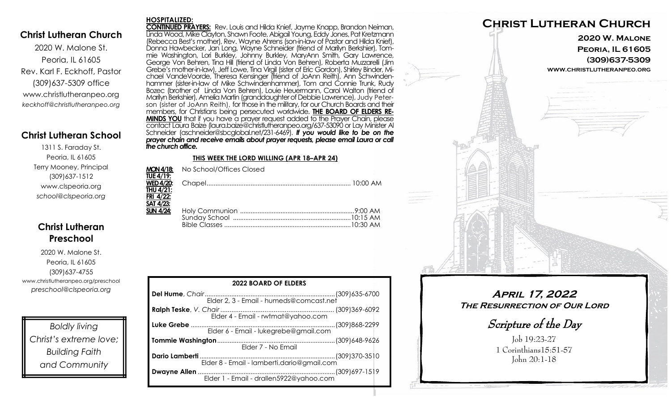### **Christ Lutheran Church**

2020 W. Malone St. Peoria, IL 61605 Rev. Karl F. Eckhoff, Pastor (309)637-5309 office www.christlutheranpeo.org *keckhoff@christlutheranpeo.org*

## **Christ Lutheran School**

1311 S. Faraday St. Peoria, IL 61605 Terry Mooney, Principal (309)637-1512 www.clspeoria.org *school@clspeoria.org*

## **Christ Lutheran Preschool**

2020 W. Malone St. Peoria, IL 61605 (309)637-4755 www.christlutheranpeo.org/preschool *preschool@clspeoria.org*

*Boldly living Christ's extreme love; Building Faith and Community*

#### **HOSPITALIZED:**

**CONTINUED PRAYERS:** Rev. Louis and Hilda Knief, Jayme Knapp, Brandon Neiman, Linda Wood, Mike Clayton, Shawn Foote, Abigail Young, Eddy Jones, Pat Kretzmann (Rebecca Best's mother), Rev. Wayne Ahrens (son-in-law of Pastor and Hilda Knief), Donna Hawbecker, Jan Long, Wayne Schneider (friend of Marilyn Berkshier), Tommie Washington, Lori Burkley, Johnny Burkley, MaryAnn Smith, Gary Lawrence, George Von Behren, Tina Hill (friend of Linda Von Behren), Roberta Muzzarelli (Jim Grebe's mother-in-law), Jeff Lowe, Tina Virgil (sister of Eric Gordon), Shirley Binder, Michael VandeVoorde, Theresa Kensinger (friend of JoAnn Reith), Ann Schwindenhammer (sister-in-law of Mike Schwindenhammer), Tom and Connie Trunk, Rudy Bozec (brother of Linda Von Behren), Louie Heuermann, Carol Walton (friend of Marilyn Berkshier), AmeliaMartin (granddaughter of Debbie Lawrence), Judy Peterson (sister of JoAnn Reith), for those in the military, for our Church Boards and their members, for Christians being persecuted worldwide. **THE BOARD OF ELDERS RE-MINDS YOU** that if you have a prayer request added to the Prayer Chain, please contact Laura Baize (laura.baize@christlutheranpeo.org/637-53090 or Lay Minister Al Schneider (aschneider@sbcglobal.net/231-6469). *If you would like to be on the prayer chain and receive emails about prayer requests, please email Laura or call the church office.*

#### **THIS WEEK THE LORD WILLING (APR 18–APR 24)**

|                  | <b>MON 4/18:</b> No School/Offices Closed |  |
|------------------|-------------------------------------------|--|
| <b>TUE 4/19:</b> |                                           |  |
|                  |                                           |  |
| <b>THU 4/21:</b> |                                           |  |
| FRI 4/22:        |                                           |  |
| <b>SAT 4/23:</b> |                                           |  |
| $SUN$ 4/24:      |                                           |  |
|                  |                                           |  |
|                  |                                           |  |
|                  |                                           |  |

| <b>2022 BOARD OF ELDERS</b>             |  |  |  |
|-----------------------------------------|--|--|--|
|                                         |  |  |  |
|                                         |  |  |  |
| Elder 6 - Email - lukegrebe@gmail.com   |  |  |  |
| Elder 7 - No Email                      |  |  |  |
|                                         |  |  |  |
| Elder 1 - Email - drallen5922@yahoo.com |  |  |  |



**April 17, 2022 The Resurrection of Our Lord**

Scripture of the Day

Job 19:23-27 1 Corinthians15:51-57 John 20:1-18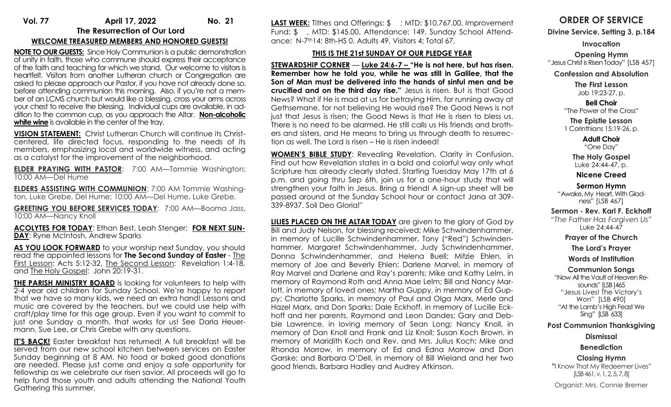# **Vol. 77 April 17, 2022 No. 21 The Resurrection of Our Lord**

## **WELCOME TREASURED MEMBERS AND HONORED GUESTS!**

**NOTE TO OUR GUESTS:** Since Holy Communion is a public demonstration of unity in faith, those who commune should express their acceptance of the faith and teaching for which we stand. Our welcome to visitors is heartfelt. Visitors from another Lutheran church or Congregation are asked to please approach our Pastor, if you have not already done so, before attending communion this morning. Also, if you're not a member of an LCMS church but would like a blessing, cross your arms across your chest to receive the blessing. Individual cups are available, in addition to the common cup, as you approach the Altar. **Non-alcoholic**  white wine is available in the center of the tray.

**VISION STATEMENT:** Christ Lutheran Church will continue its Christcentered, life directed focus, responding to the needs of its members, emphasizing local and worldwide witness, and acting as a catalyst for the improvement of the neighborhood.

**ELDER PRAYING WITH PASTOR**: 7:00 AM—Tommie Washington; 10:00 AM—Del Hume

**ELDERS ASSISTING WITH COMMUNION**: 7:00 AM Tommie Washington, Luke Grebe, Del Hume; 10:00 AM—Del Hume, Luke Grebe.

**GREETING YOU BEFORE SERVICES TODAY**: 7:00 AM—Booma Jass, 10:00 AM—Nancy Knoll

**ACOLYTES FOR TODAY**: Ethan Best, Leah Stenger; **FOR NEXT SUN-DAY**: Ryne McIntosh, Andrew Sparks

AS YOU LOOK FORWARD to your worship next Sunday, you should read the appointed lessons for **The Second Sunday of Easter** - The First Lesson: Acts 5:12-32, The Second Lesson: Revelation 1:4-18, and The Holy Gospel: John 20:19-31.

**THE PARISH MINISTRY BOARD** is looking for volunteers to help with 2-4 year old children for Sunday School. We're happy to report that we have so many kids, we need an extra hand! Lessons and music are covered by the teachers, but we could use help with craft/play time for this age group. Even if you want to commit to just one Sunday a month, that works for us! See Darla Heuermann, Sue Lee, or Chris Grebe with any questions.

**IT'S BACK!** Easter breakfast has returned! A full breakfast will be served from our new school kitchen between services on Easter Sunday beginning at 8 AM. No food or baked good donations are needed. Please just come and enjoy a safe opportunity for fellowship as we celebrate our risen savior. All proceeds will go to help fund those youth and adults attending the National Youth Gathering this summer.

**LAST WEEK:** Tithes and Offerings: \$; MTD: \$10,767.00. Improvement Fund: \$ , MTD: \$145.00. Attendance: 149. Sunday School Attendance: N-7th14; 8th-HS 0, Adults 49, Visitors 4; Total 67.

### **THIS IS THE 21st SUNDAY OF OUR PLEDGE YEAR**

**STEWARDSHIP CORNER** — **Luke 24:6-7 – "He is not here, but has risen. Remember how he told you, while he was still in Galilee, that the Son of Man must be delivered into the hands of sinful men and be crucified and on the third day rise."** Jesus is risen. But is that Good News? What if He is mad at us for betraying Him, for running away at Gethsemane, for not believing He would rise? The Good News is not just that Jesus is risen; the Good News is that He is risen to bless us. There is no need to be alarmed. He still calls us His friends and brothers and sisters, and He means to bring us through death to resurrection as well. The Lord is risen – He is risen indeed!

**WOMEN'S BIBLE STUDY**: Revealing Revelation, Clarity in Confusion. Find out how Revelation states in a bold and colorful way only what Scripture has already clearly stated. Starting Tuesday May 17th at 6 p.m. and going thru Sep 6th, join us for a one-hour study that will strengthen your faith in Jesus. Bring a friend! A sign-up sheet will be passed around at the Sunday School hour or contact Jana at 309- 339-8937. Soli Deo Gloria!"

**LILIES PLACED ON THE ALTAR TODAY** are given to the glory of God by Bill and Judy Nelson, for blessing received; Mike Schwindenhammer, in memory of Lucille Schwindenhammer, Tony ("Red") Schwindenhammer, Margaret Schwindenhammer, Judy Schwindenhammer, Donna Schwindenhammer, and Helena Buell; Mitzie Ehlen, in memory of Joe and Beverly Ehlen; Darlene Marvel, in memory of Ray Marvel and Darlene and Ray's parents; Mike and Kathy Lelm, in memory of Raymond Roth and Anna Mae Lelm; Bill and Nancy Marlott, in memory of loved ones; Martha Guppy, in memory of Ed Guppy; Charlotte Sparks, in memory of Paul and Olga Marx, Merle and Hazel Marx, and Don Sparks; Dale Eckhoff, in memory of Lucille Eckhoff and her parents, Raymond and Leon Dandes; Gary and Debbie Lawrence, in loving memory of Sean Long; Nancy Knoll, in memory of Dan Knoll and Frank and Liz Knoll; Susan Koch Brown, in memory of Maridith Koch and Rev. and Mrs. Julius Koch; Mike and Rhonda Morrow, in memory of Ed and Edna Morrow and Don Garske; and Barbara O'Dell, in memory of Bill Wieland and her two good friends, Barbara Hadley and Audrey Atkinson.

# **ORDER OF SERVICE**

**Divine Service, Setting 3, p.184**

**Invocation**

**Opening Hymn** "Jesus Christ is Risen Today" [LSB 457]

**Confession and Absolution**

**The First Lesson** Job 19:23-27, p.

**Bell Choir** "The Power of the Cross"

**The Epistle Lesson** 1 Corinthians 15:19-26, p.

> **Adult Choir** "One Day"

**The Holy Gospel** Luke 24:44-47, p.

**Nicene Creed**

**Sermon Hymn** "Awake, My Heart, With Gladness" [LSB 467]

**Sermon - Rev. Karl F. Eckhoff**

*"The Father Has Forgiven Us"* Luke 24:44-47

**Prayer of the Church**

**The Lord's Prayer**

**Words of Institution**

**Communion Songs**

"Now All the Vault of Heaven Resounds" [LSB ]465 "Jesus Lives! The Victory's Won" [LSB 490] "At the Lamb's High Feast We Sing" [LSB 633]

**Post Communion Thanksgiving**

**Dismissal**

#### **Benediction**

**Closing Hymn "**I Know That My Redeemer Lives" [LSB 461, v. 1, 2, 5, 7, 8] Organist: Mrs. Connie Bremer